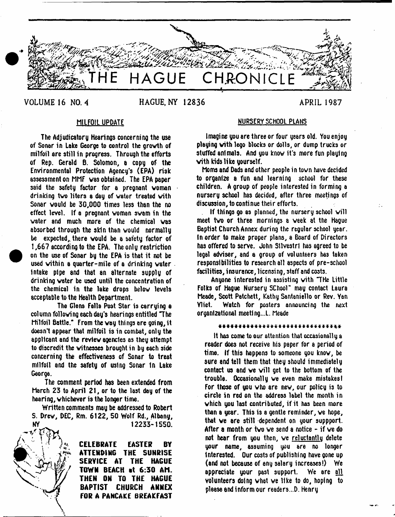

VOLUME 16 NO. 4 **HAGUE, NY 12836** APRIL 1987

The Adjudicatory Hearings concerning the use of Sonar in Lake George to control the grovth of milfoil are still in progress. Through the efforts of Rep. Gerald 6. Solomon, a copg of the Environmental Protection Agency's (EPA) risk assessment on MMF vas obtained. The EPA paper said the safety factor for a pregnant woman drinking tvo liters a day of water treated with Sonar would be 30,000 times less than the no effect level. If a pregnant voman swam in the water and much more of the chemical vas absorbed through the skin than would normally be expected, there would be a safety factor of 1,667 according to the EPA. The only restriction on the use of Sonar by the EPA is that it not be used within a quarter-mile of a drinking water Intake pipe 8nd that an alternate supply of drinking water be used until the concentration of the chemical in the lake drops below levels acceptable to the Health Department.

The Glens Falla Post Star is carrying a column following each day's hearings entitled The Milfoil Battle." From the way things are going, it doesn't appear that milfoil is in combat, only the applicant and the review agencies as they attempt to discredit the witnesses brought in by each side concerning the effectiveness of Sonar to treat milfoil and the safety of using Sonar In Lake George.

The comment period hss been extended from March 23 to April 21, or to the last day of the hearing, whichever is the longer time.

Written comments may be addressed to Robert S. Drew, DEC, Rm. 6122, 50 Wolf Rd., Albany, NY 12233-1550.



**CELEBRATE EASTER BY ATTENDING THE SUNRISE SERVICE AT THE HAGUE TOWN BEACH at 6:30 AM. THEN ON TO THE HAGUE BAPTIST CHURCH ANNEX fOR A PANCAKE BREAKFAST**

# MILFOIL UPDATE **NURSERY SCHOOL PLANS**

Imagine you are three or four years old. You enjoy playing with lego blocks or dolls, or dump trucks or stuffed animals. And you know it's more fun playing with kids like yourself.

Moms and Dads and other people in town have decided to organize a fun and learning school for these children. A group of people interested in forming a nursery school has decided, after three meetings of discussion, to continue their efforts.

If things 90 as planned, the nursery school will meet tvo or three mornings a week at the Hague Baptist Church Annex during the regular school year, tn order to make proper plans, a Board of Directors has offered to serve. John SUvestrl has agreed to be legal adviser, and a group of volunteers has taken responsibilities to research all aspects of pre-school facilities, insurance, licensing, staff and costs.

Anyone interested in assisting with THe Little Folks of Hague Nursery SChool" may contact Laura Meade, Scott Patchett, Kathy Santaniello or Rev. Yan Yliet. Watch for posters announcing the next organizational meeting..!. Meade

\* \* \* \* \* \* \* \* \* \* \* \* \* \* \* \* \* \* \* \* \* \* \* \* \* \* \* \* \* \* \*

It has come to our attention that occasionally a reader does not receive his paper for a period of time. If this happens to someone you know, be sure and tell them that they should immediately contact us and ve will get to the bottom of the trouble. Occasionally we even make mistakes I For those of you who are new, our policy is to circle in red on the address label the month in which you last contributed, if it has been more than a year. This is a gentle reminder, ve hope, that ve are still dependent on your suppport. After a month or two we send a notice - if we do not hear from you then, we <u>reluctantly</u> delete your name, assuming you are no longer Interested. Our costs of publishing have gone up (and not because of any salary increases!) We appreciate your past support. We are <u>all</u> volunteers doing what we like to do, hoping to please and inform our readers...D. Henry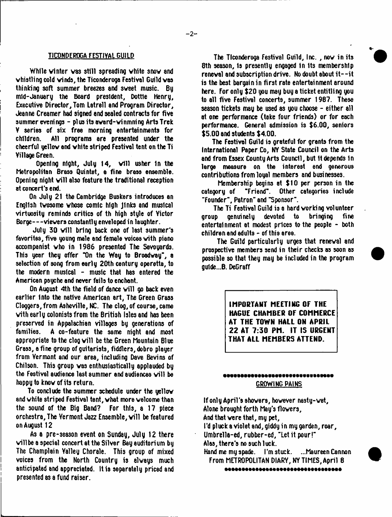## **TICONDEROGA FESTIVAL GUILD**

While vinter vas still spreading vhite snov and whistling cold winds, the Ticonderoga Festival Guild vas thinking soft summer breezes and sweet music. Bu mid-January the Board president, Dottle Henry, Executive Director, Tom Latrell and Program Director, Jeanne Creamer had signed and sealed contracts for five summer evenings - plus its award-winmning Arts Trek V series of six free morning entertainments for children. All programs are presented under the cheerful yellov and vhite striped Festival tent on the Ti Village Green.

Opening night, July  $14$ , will usher in the Metropolitan Brass Quintet, e fine brass ensemble. Opening night will also feature the traditional reception at concert's end.

On July 21 the Cambridge Buskers introduces an English tvosome whose comic high Jinks and musical virtuosity reminds critics of th high style of Yictor Borge— viewers constantly enveloped in laughter.

July 30 will bring back one of last summer's favorites, five young male and female voices with piano accompanist who in 1986 presented The Savoyards. This year they offer "On the Way to Broadway", a selection of song from early 20th century operetta, to the modern musical - music that has entered the American psyche and never fails to enchant.

On August 4th the field of dance will go back even earlier Into the native American art, The Green Grass Cloggers, from Asheville, NC. The clog, of course, came vith early colonists from the British Isles and has been preserved in Appalachian villages by generations of<br>families. A co-feature the same night and most families. A co-feature the same night and most appropriate to the clog will be the Green Mountain Blue Grass, a fine group of guitarists, fiddlers, dobro player from Vermont and our area, including Dave Bevins of Chilson. This group vas enthusiastically applauded by the Festival audience last summer and audiences will be happy to knov of its return.

To conclude the summer schedule under the yellov and vhite striped Festival tent, what more welcome than the sound of the Big Band? For this, a 17 piece orchestra, The Vermont Jazz Ensemble, will be featured on August 12

As a pre-season event on Sunday, July 12 there will be a special concert at the Silver Bay auditorium by The Champlain Valley Chorale. This group of mixed voices from the North Country is always much anticipated and appreciated. It is separately priced and presented as a fund raiser.

The Ticonderoga Festival Guild, Inc. , nov in its 8th season, is presently engaged in its membership renewal and subscription drive. No doubt about it - - it is the best bargain in first rate entertainment around here. For only \$20 you may buy a ticket entitling you to all five Festival concerts, summer 1987. These season tickets may be used as you choose - either all at one performance (take four friends) or for each performance. General admission is \$6.00, seniors \$5.00 and students \$4.00.

The Festival Guild is grateful for grants from the International Paper Co, NY State Council on the Arts and from Essex County Arts Council, but 1t depends In large measure on the interest end generous contributions from loyal members and businesses.

Membership begins at \$10 per person in the category of "Friend". Other categories include "Friend". Other categories include "Founder", Patron" and "Sponsor".

The Ti Festival Guild is a hard working volunteer group genuinely devoted to bringing fine entertainment at modest prices to the people - both children and adults - of this area.

The Guild particularly urges that renewal and prospective members send in their checks as soon as possible so that they may be included in the program gu1de...B. DeGraff

> **IMPORTANT MEETING OF THE HAGUE CHAMBER OF COMMERCE AT THE TOWN HALL ON APRIL 22 AT 7:30 PM. IT IS URGENT THAT ALL MEMBERS ATTEND.**

# •••••••••••••••••••••••••■••MM GROWING PAINS

If only April's showers, however nasty-wet, Alone brought forth May's flowers. And that vere that, my pet, I'd pluck a violet and, giddy in my garden, roar, Umbrella-ed, rubber-ed, "Let it pour!" Alas, there's no such luck. Hand me myspade. I'm stuck. ...Maureen Cannon From METROPOLITAN DIARY, NY TIMES, April 8

-----------------------------------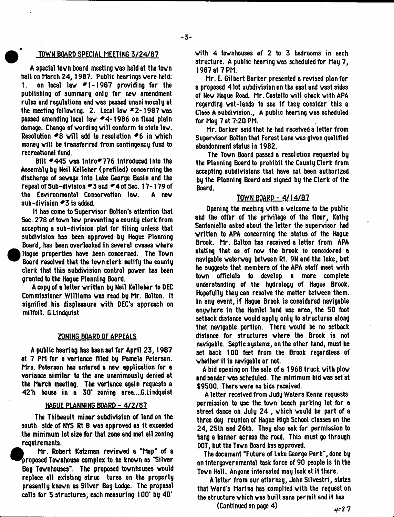# TOWN BOARD SPECIAL MEETING 3/24/87

A special tovn board meeting vas held at the town hall on March 24, 1987. Public hearings vere held: 1. on local law  $*1-1987$  providing for the publishing of summary only for nev amendment rules and regulations ami vas passed unanimously at the meeting following. 2. Local lav \*2-1987 vas passed amending local lav \*4-1986 on flood plain damage. Change of wording will conform to state law. Resolution  $*8$  will add to resolution  $*6$  in which money will be transferred from contingency fund to recreational fund.

Bill \*445 vas Intro\*776 Introduced Into the Assembly by Neil Kelleher (prefiled) concerning the discharge of sevage into Lake George Basin and the repeal of Sub-division #3 and #4 of Sec. 17-179 of the Environmental Conservation law. A new sub-division  $\overline{*}3$  is added.

It has come to Supervisor Bolton's attention that Sec. 278 of tovn lav preventing a county clerk from accepting a sub-division plat for filing unless that subdivision has been approved by Hague Planning Board, has been overlooked in several cvases where Hague properties have been concerned. The Town Board resolved that the tovn clerk notify the county clerk that this subdivision control pover has been granted to the Hague Planning Board.

A copy of a letter vritten by Neil Kelleher to DEC Commissioner Williams vas read by Mr. Bolton, tt signified his displeasure with DEC's approach on milfoil. G.Lindquist

## ZONING BOARD OF APPEALS

A public hearing has bean set for April 23,1987 at 7 PM for a variance filed by Pamela Peterson. Mrs. Peterson has entered a nev application for a variance similar to the one unanimously denied at the March meeting. The variance again requests a 42'h house in a 30' zoning erea....G.Lindquist

# HAGUE PLANNING BOARD - 4/2/87

The Thibeault minor subdivision of land on the south side of NYS Rt 8 was approved as it exceeded the minimum lot size for that zone and met all zoning requirements.

*• i* Mr. Robert Katz man revieved a "Map" of a proposed Tovnhouse complex to be knovn as "Silver Bay Tovnhouses". The proposed tovnhouses vould replace all existing struc tures on the property presently knovn as Silver Bay Lodge. The proposal calls for 5 structures, each measuring 100' by 40'

with 4 tovnhouses of 2 to 3 bedrooms in each structure. A public hearing vas scheduled for May 7, 1987 at 7 PM.

Mr. E. Gilbert Barker presented a revised plan for a proposed 4 lot subdivision on the east and vest sides of New Haque Road. Mr. Costello will check with APA regarding vet-lands to see if they consider this a Class A subdivision., A public hearing vas scheduled for May 7 at 7:20 PM.

Mr. Barker said that he had received a letter from Supervisor Bolton that Forest Lene vas given qualified abandonment status in 1982.

The Tovn Board passed a resolution requested by the Planning Board to prohibit the County Clerk from accepting subdivisions that have not been authorized by the Planning Board and signed by the Clerk of the Board.

# TOWN BOARD - 4/1.4/8?

Opening the meeting vith a welcome to the public and the offer of the privilege of the floor, Kathy Santaniello asked about the letter the supervisor had vritten to APA concerning the status of the Hague Brook. Mr. Bolton has received a letter from APA stating that as of now the brook is considered a navigable vatervay between Rt. 9N and the lake, but he suggests that members of the APA staff meet vith tovn officials to develop a more complete understanding of the hydrology of Hague Brook. Hopefully they can resolve the matter between them. In any event, if Hague Brook is considered navigable anywhere in the Hamlet land use area, the 50 foot setback distance vould apply only to structures along that navigable portion. There vould be no setback distance for structures where the Brook is not navigable. Septic systems, on the other hand, must be set back 100 feet from the Brook regardless of whether it ia navigable or not.

A bid opening on the sale of a 1968 truck vith plow and sander vas scheduled. The minimum bid vas set at \$9500. There vere no bids received.

A letter received from Judy Waters Kenna requests permission to use the tovn beach parking lot for a street dance on July 24 , vhich would be part of a three day reunion of Hague High School classes on the 24, 25th and 26th. They also ask for permission to hang a banner across the road. This must go through DOT, but the Tovn Board has approved.

The document "Future of Lake George Park", done by an intergovernmental task force of 90 people Is in the Tovn Hall. Anyone interested may look at it there.

A letter from our attorney, John Silvestri, states that Ward's Marina has complied vith the request on the structure vhich vas built sans permit end it has

(Continued on page 4)  $\leftarrow 87$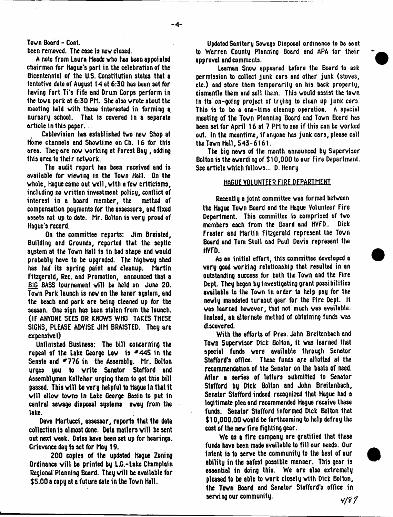Tovn Board - Cont.

been removed. The case is nov closed.

A note from Laura Meade vho has been appointed chairman for Hague's part in the celebration of the Bicentennial of the U.S. Constitution states that a tentative date of August 14 at 6:30 hes been set for having Fort Ti's Fife and Drum Corps perform in the tovn pork at 6:30 PM. She also wrote about the meeting held vith those interested in forming a nurserg school. That Is covered in a separate article in this paper..

Cablevision has established tvo nev Shop at Home channels and Shovtime on Ch. 16 for this area. They are nov working at Forest Bay , adding this area to their network.

The audit report has been received and is available for viewing in the Tovn Hall. On the whole, Hague came out well, with a few criticisms, including no vritten investment policy, conflict of interest in a board member, the method of compensation payments for the assessors, and fixed assets not up to date. Mr. Bolton is very proud of Hague's record.

On the committee reports: Jim Braisted, Building and Grounds, reported that the septic sustem at the Town Hall is in bad shape and would probably have to be upgraded. The highway shed has had its spring paint end cleanup. Martin Fitzgerald, Rec. and Promotion, announced that a BIG BASS tournament will be held on June 20. Tovn Park launch is nowon the honor system, and the beach and park are being cleaned up for the season. One sign has been stolen from the launch. (IF ANYONE SEES OR KNOWS WHO TAKES THESE SIGNS, PLEASE ADYISE JIM BRAISTED. They are expensive!)

Unfinished Business: The bill concerning the repeal of the Lake George Law is  $*445$  in the Senate and  $*776$  in the Assembly. Mr. Bolton urges you to write Sonator Stafford and Assemblyman Kelleher urging them to get this bill passed. This will be very helpful to Haque in that it will allow towns in Lake George Basin to put in central sewage disposal systems away from the lake.

Dave Martucci, assessor, reports that the data collection is almost done. Data mailers will be sent out next week. Dates have been set up for hearings. Grievance day is set for May 19.

200 copies of the updated Hague Zoning Ordinance will be printed by L.G.-Lake Champlain Regional Planning Board. They will be available for \$5.00 a copy at a future date in the Tovn Hall.

Updated Sanitary Savage Disposal ordinance to be eant to Warren County Planning Board and APA for their approval and comments.

Leaman Snow appeared before the Board to ask permission to collect junk cars and other junk (stoves, etc.) and store them temporarily on his back property, dismantle them and sell them. This vould assist the tovn in its on-going project of trying to clean up junk cars. This is to be a one-time cleanup operation. A special meeting of the Town Planning Board and Tovn Board has been set for April 16 at 7 PM to see if this can be worked out. In the meantime, if anyone has junk cars, please call the Tovn Hall, 543-6161.

The big news of the month announced by Supervisor Bolton is the avarding of \$ 10,000 to our Fire Department. See article vhich follows... D. Henry

# HAGUE VOLUNTEER FIRE DEPARTMENT

Recently a joint committee was formed between the Hague Tovn Board and the Hague Yolunteer Fire Deportment. This committee is comprised of tvo members each from the Board and HVFD.. Dick Frasier and Martin F1t2gera1d represent the Tovn Board and Tom Stull and Paul Davis represent the HYFD.

As an initial effort, this committee developed a very good working relationship that resulted in an outstanding success for both the Tovn and the Fire Dept. They began by investigating grant possibilities available to the Tovn in order to help pay for the newly mandated turnout gear for the Fire Dept. It was learned however, that not much was available. Instead, an alternate method of obtaining funds vas discovered.

With the efforts of Pres. John Breitenbach and Tovn Supervisor Dick Bolton, it vas learned that special funds were available through Senator Stafford's office. These funds are allotted at the recommendation of the Senator on the basis of need. After a series of letters submitted to Senator Stafford by Dick Bolton and John Breitenbach, Senator Stafford indeed recognized that Hague had a legitimate plea and recommended Hague receive these funds. Senator Stafford informed Dick Bolton that \$10,000.00 would be forthcoming to help defray the cost of the nev fire fighting gear.

We as a fire company are gratified that these funds have been made available to fill our needs. Our intent is to serve the community to the best of our ability in the safest possible manner. This gear is essential in doing this. We are also extremely pleased to be able to work closely with Dick Bolton, the Tovn Board and Senator Stafford's office in serving our community.  $\frac{4}{5}$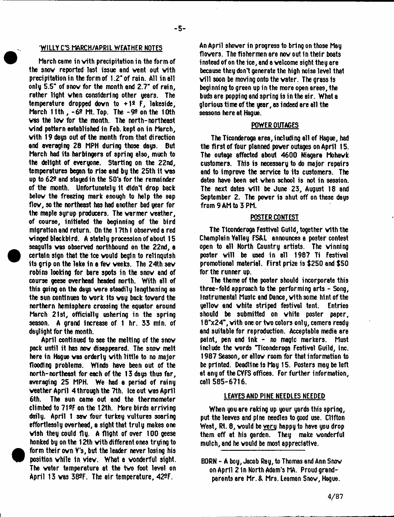# WILLY CS MARCH/APRIL WEATHER NOTES

March came in vith precipitation in the form of the snow reported last issue and vent out vith precipitation in the form of 1.2" of rain. All in all onlg 5.5" of snov for the month and 2.7" of rain, rather light vhen considering other gears. The temperature dropped down to  $+12$  F, lakeside, March 11th , -69 Mt.Top. The -99 on the 10th vas the lov for the month. The north-northeast vind pattern established in Feb. kept on in March, vith 19 dags out of the month from that direction and averaging 28 MPH during those dags. But March had its harbingers of spring also, much to the delight of everyone. Starting on the 22nd, temperatures began to rise and by the 25th it vas up to 629 and stayed in the 50's for the remainder of the month. Unfortunatelg it didn't drop back belov the freezing mark enough to help the sap flov, so the northeast has had another bad year for the maple syrup producers. The varmer veather, of course, initiated the beginning of the bird migration and return. On the 17th I observed a red vinged blackbird. A stately procession of about 15 seagulls vas observed northbound on the 22nd, a certain sign that the ice vould begin to relinquish its grip on the lake in a fev veeks. The 24th sav robins looking for bare spots in the snov and of course geese overhead headed north. With all of this going on the days vere steadily lengthening as the sun continues to vork Its vay back tovard the northern hemisphere crossing the equator around March 21st, officially ushering in the spring season. A grand increase of 1 hr. 33 min. of daylight for the month.

April continued to see the melting of the snow pack until it has nov disappeared. The snov melt here in Hague vas orderly vith little to no major flooding problems. Winds have been out of the north-northeast for each of the 13 days thus far, averaging 25 MPH. We had a period of rainy weather April  $\,$  4 through the 7th. Ice out was April 6th. The sun came out and the thermometer climbed to 719F on the 12th. More birds arriving daily. April 1 sav four turkey vultures soaring effortlessly overhead, a sight that truly makes one vlsh they could fly. A flight of over 100 geese honked by on the 12th vith different ones trying to form their own Y's, but the leader never losing his position vhile In viev. What a vonderful sight. The vater temperature at the tvo foot level on April 13 was  $38^{\circ}$ F. The air temperature,  $42^{\circ}$ F.

An April shoverin progress to bring on those May flovers. The fishermen are nov out 1n their boats instead of on the ice, and a velcome sight they are because they don't generate the high noise level that will soon be moving onto the water. The grass is beginning to green up in the more open areas, the buds are popping and spring is in the air. What a glorious time of the year, as indeed are all the seasons here at Hague.

# POWER OUTAGES

The Ticonderoga area, including all of Hague, had the first of four planned pover outages on April 15. The outage affected about 4600 Niagara Mohavk customers. This is necessary to do major repairs and to improve the service to its customers. The dates have been set vhen school is not in session. The next dates  $\forall$ ill be June 23, August 18 and September 2. The pover is shut off on these days from 9 AM to 3 PM.

# POSTER CONTEST

The Ticonderoga Festival Guild, together vith the Champlain Yalley FS&L announces a poster contest open to all North Country artists. The vinning poster will be used in all 1987 Ti Festival promotional material. First prize is \$250 and \$50 for the runner up.

The theme of the poster should incorporate this three-fold approach to the performing arts - Song, Instrumental Music and Dance, vith some hint of the yellov end vhite striped festival tent. Entries should be submitted on vhite poster paper, 18"x24", vith one or tvo colors only, camera ready and suitable for reproduction. Acceptable media are paint, pen and Ink - no magic markers. Must include the vords "Ticonderoga Festival Guild, Inc. 1987 Season, or allov room for that information to be printed. Deadline is May 15. Posters may be left at any of the CYFS offices. For further information, call 585-6716.

## LEAVES AND PINE NEEDLES NEEDED

When you are raking up your yards this spring, put the leaves and pine needles to good use. Clifton West, Rt. 8, would be <u>very</u> happy to have you drop them off at his garden. They make vonderful mulch, and he vould be most appreciative.

K)RN - A boy, Jacob Ray, to Thomas and Ann Snov on April 2 In North Adam's Proud grandparents are Mr. & Mrs. Leeman Snov, Hague.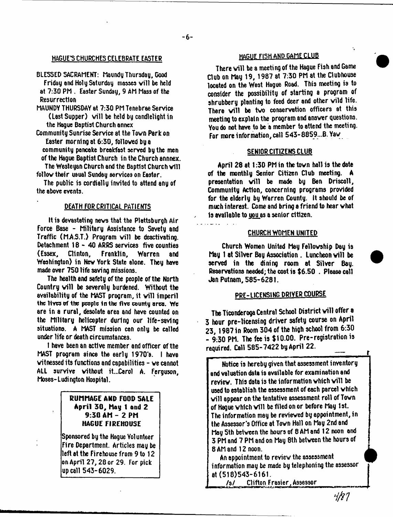# HAGUE'S CHURCHES CELEBRATE EASTER

- BLESSED SACRAMENT: Maundy Thursday, Good Friday and Holy Saturday masses will be held at 7:30 PM . Easter Sunday, 9 AM Mass of the **Resurrection**
- MAUNDY THURSDAY at 7:30 PM Tenebree Service (Last Supper) will be held by candlelight in the Hague Baptist Church annex
- Community Sunrise Service at the Tovn Park on Easter morning at 6:30, folloved by a community pancake breakfast served by the men of the Hague Baptist Church in the Church annnex.

The Wesleyan Church and the Baptist Church vill follow their usual Sunday services on Easter.

The public is cordially invited to attend any of the above events.

# DEATH FOR CRITICAL PATIENTS

It is devastating news that the Plattsburgh Air Force Base - Military Assistance to Savety and Traffic (M.A.S.T.) Program will be deactivating. Detachment 18 - 40 ARRS services five counties<br>(Essex. Clinton. Franklin. Warren and (Essex, Clinton, Franklin, Warren and Washington) in Nev York State alone. They have made over 750 life saving missions.

The health and safety of the people of the North Country will be severely burdened. Without the availability of the MAST program, it will imperil the lives of the people in the five county area. We are in a rural, desolate area and have counted on the Military helicopter during our life-saving situations. A MAST mission can only be called under life or death circumstances.

1 have been an active member and officer of the MAST program since the early 1970's. I have witnessed its functions and capabilities - ve cannot ALL survive without it...Carol A. Ferguson, Moses- L udi ngton Hospital.

# **RUMMAGE AND FOOD SALE A p ril 3 0 , hay 1 and 2 9 :3 0 A h - 2 PH HAGUE FI REHOUSE**

Sponsored by the Hague Volunteer Fire Department. Articles may be left at the Firehouse from 9 to 12 on April 27,28 or 29. For pick up call 543-6029.

# HAGUE FISH AND GAME CLUB

There will be a meeting of the Hague Fish and Game Club on May 19, 1987 at 7:30 PM at the Clubhouse located on the West Hague Road. This meeting is to consider the possibility of starting a program of shrubbery planting to feed deer and other wild life. There will be two conservation officers at this meeting to explain the program and answer questions. You do not have to be a member to attend the meeting. For more information, call 543-8859...B. Yay

## SENIOR CITIZENS CLUB

April 28 at 1:30 PM in the tovn hall is the date of the monthly Senior Citizen Club meeting. A presentation will be made by Ben Driscoll, Community Action, concerning programs provided for the elderly by Warren County. It should be of much interest. Come and bring a friend to hear vhat Is available to youas a senior citizen.

#### CHURCH WOMEN UNITED

Church Women United hay Fellowship Day is May 1 at Silver Bay Association. Luncheon will be served in the dining room at Silver Bay. Reservations needed; the cost is \$6.50 . Please call Jan Putnam, 585-6281.

# PRE-LICENSING DRIVER COURSE

The Ticonderoga Central School District will offer a 3 hour pre-licensing driver safety course on April 23, 1987 in Room 304 of the high school from 6:30 - 9:30 PM. The fee is \$10.00. Pre-registration is required. Call 585-7422 by April 22.

Notice is hereby given that assessment inventory and valuation data is available for examination and review. This data is the information which will be used to establish the assessment of each parcel vhich will appear on the tentative assessment roll of Town of Haque which will be filed on or before May 1st. The information may be reviewed by appointment, in the Assessor's Office at Tovn Hall on May 2nd and hay 5th between the hours of 8 AM and 12 noon and 3 PM and 7 PM and on May 8th between the hours of 8 AM and 12 noon.

An appointment to review the assessment information may be made by telephoning the assessor at (518)543-6161.

/s/ Clifton Frasier, Assessor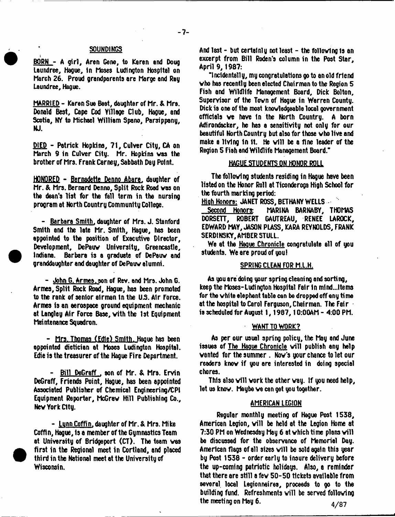# **- 7 -**

## **SOUNDINGS**

BORN - A girl, Aren Gene, to Karen and Doug Laundree, Hague, in Moses Ludington Hospital on March 26. Proud grandparents are Marge and Ray Laundree, Hague.

MARRIED - Karen Sue Beat, daughter of Mr. & Mrs. Donald Best, Cape Cod Yillage Club, Hague, and Scotia, NY to Michael William Spano, Parsippany, NJ.

DIED - Patrick Hopkins, 71, Culver City, CA on March 9 in Culver City. Mr. Hopkins vas the brother of Mrs. frank Carney, Sabbath Day Point.

HONORED - Bernadette Denno Abare. daughter of Mr. & Mrs. Bernard Denno, Split Rock Rood vas on the dean's list for the fall term in the nursing program at North Country Community College.

- Barbara Smith, daughter of Mrs. J. Stanford Smith and the late Mr. Smith, Hague, has been appointed to the position of Executive Director, Development, DePauv University, Greencastle, Indiana. Barbara is a graduate of DePauv and granddaughter and daughter of DePauv alumni.

- John G. Armes.son of Rev. and Mrs. John G. Armes, Split Rock Road, Hague, has been promoted to the rank of senior airman In the U.S. A1r force. Armes is an aerospace ground equipment mechanic at Langley Air force Base, vith the 1st Equipment Maintenance Squadron.

- Mrs. Thomas (Edle) Smith. Hague has been appointed dietician at Moses Ludington Hospital. Edie is the treasurer of the Hague fire Department.

- Bill DeGreff , son of Mr. & Mrs. Ervin DeGraff, friends Point, Hague, has been appointed Associated Publisher of Chemical Engineering/CPI Equipment Reporter, McGrav Hill Publishing Co., Nev York City.

 $-$  Lynn Coffin, daughter of Mr. & Mrs. Mike Coffin, Hague, Is a member of the Gymnastics Team at University of Bridgeport (CT). The team vas first in the Regional meet in Cortland, and placed third in the National meet at the University of Wisconsin.

And last - but certainly not least - the follovlng is an excerpt from Bill Roden's column in the Post Star, April 9, 1987:

"Incidentally, my congratulations go to an old friend vho has recently been elected Chairman to the Region 5 fish and Wildlife Management Board, Dick Bolton, Supervisor of the Tovn of Hague in Warren County. Dick is one of the most knowledgeable local government officials ve have In the North Country. A born Adirondacker, he has a sensitivity not only for our beautiful North Country but also for those vho live and make a living in it. He will be a fine leader of the Region 5 fish and Wildlife Management Board."

# HAGUE STUDENTS ON HONOR ROLL

The following students residing in Hague have been listed on the Honor Roll at Ticonderoga High School for the fourth marking period:

Hioh Honors: JANET ROSS. BETHANY WELLS

Second Honors: MARINA BARNABY, THOMAS DORSETT, ROBERT GAUTREAU, RENEE LAROCK, EDWARD MAY, JASON PLASS, KARA REYNOLDS, f RANK SERDtNSKY, AMBER STULL.

We at the Hague Chronicle congratulate all of you students. We are proud of you!

#### SPRING CLEAN TOR M.L.H.

As you are doing your spring cleaning and sorting, keep the Moses-Ludington Hospital Fair in mind...Items for the vhite elephant table can be dropped off eny time at the hospital to Carol ferguson. Chairman. The Fair is scheduled for August 1, 1987, 10:00AM - 4:00 PM.

#### WANT TO WORK?

As per our usual spring policy, the Mag and June issues of <u>The Hague Chronicle</u> will publish any help vanted for the summer . Nov's your chance to let our readers knov if you are interested in doing special chores.

This also  $\forall$ ill work the other way. If you need help, let us knov. Maybe ve can get you together.

#### AMERICAN LEGION

Regular monthly meeting of Hague Post 1538, American Legion, will be held at the Legion Home at 7:30 PM on Wednesday May 6 at which time plans will be discussed for the observance of Memorial Day. American flags of all sizes will be sold again this year by Post 1538 - order early to insure delivery before the up-coming patriotic holidays. Also, a reminder that there are still e fev 50-50 tickets available from several local Legionnaires, proceeds to go to the building fund. Refreshments will be served following the mecti ng on May 6.

 $4/87$